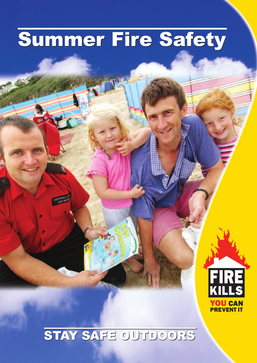# **Summer Fire Safety Summer Fire Safety**

# **STAY SAFE OUTDOORS STAY SAFE OUTDOORS**

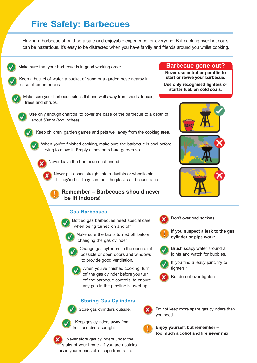## **Fire Safety: Barbecues**

Having a barbecue should be a safe and enjoyable experience for everyone. But cooking over hot coals can be hazardous. It's easy to be distracted when you have family and friends around you whilst cooking.



Make sure that your barbecue is in good working order.



Keep a bucket of water, a bucket of sand or a garden hose nearby in case of emergencies.



Make sure your barbecue site is flat and well away from sheds, fences, trees and shrubs.



Use only enough charcoal to cover the base of the barbecue to a depth of about 50mm (two inches).

Keep children, garden games and pets well away from the cooking area.

When you've finished cooking, make sure the barbecue is cool before trying to move it. Empty ashes onto bare garden soil.

Never leave the barbecue unattended.

Never put ashes straight into a dustbin or wheelie bin. If they're hot, they can melt the plastic and cause a fire.

**Remember – Barbecues should never be lit indoors!**

#### **Gas Barbecues**

Bottled gas barbecues need special care when being turned on and off.



Change gas cylinders in the open air if possible or open doors and windows to provide good ventilation.



#### **Storing Gas Cylinders**

Store gas cylinders outside.



Keep gas cylinders away from frost and direct sunlight.

Never store gas cylinders under the stairs of your home - if you are upstairs this is your means of escape from a fire.

#### **Barbecue gone out?**

**Never use petrol or paraffin to start or revive your barbecue.**

**Use only recognised lighters or starter fuel, on cold coals.**





- **If you suspect a leak to the gas cylinder or pipe work:**
- Brush soapy water around all joints and watch for bubbles.

If you find a leaky joint, try to tighten it.







**Enjoy yourself, but remember – too much alcohol and fire never mix!**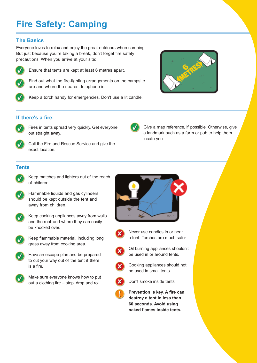# **Fire Safety: Camping**

#### **The Basics**

Everyone loves to relax and enjoy the great outdoors when camping. But just because you're taking a break, don't forget fire safety precautions. When you arrive at your site:



Ensure that tents are kept at least 6 metres apart.



Find out what the fire-fighting arrangements on the campsite are and where the nearest telephone is.



Keep a torch handy for emergencies. Don't use a lit candle.



#### **If there's a fire:**



Fires in tents spread very quickly. Get everyone out straight away.



Call the Fire and Rescue Service and give the exact location.

Give a map reference, if possible. Otherwise, give a landmark such as a farm or pub to help them locate you.

#### **Tents**



- Keep matches and lighters out of the reach of children.
- Flammable liquids and gas cylinders should be kept outside the tent and away from children.



Keep cooking appliances away from walls and the roof and where they can easily be knocked over.



Keep flammable material, including long grass away from cooking area.





Make sure everyone knows how to put out a clothing fire – stop, drop and roll.







Oil burning appliances shouldn't be used in or around tents.



Cooking appliances should not be used in small tents.



Don't smoke inside tents.



**Prevention is key. A fire can destroy a tent in less than 60 seconds. Avoid using naked flames inside tents.**